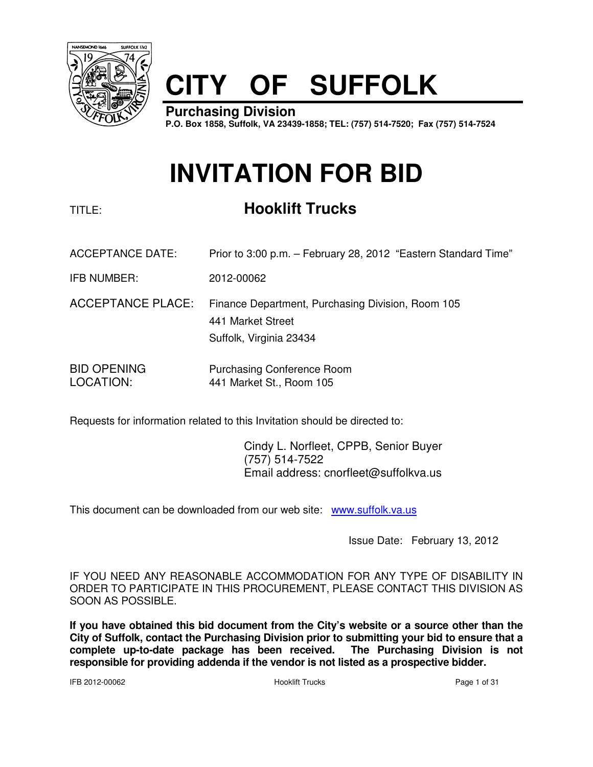

# **CITY OF SUFFOLK**

**Purchasing Division P.O. Box 1858, Suffolk, VA 23439-1858; TEL: (757) 514-7520; Fax (757) 514-7524**

# **INVITATION FOR BID**

# TITLE: **Hooklift Trucks**

- ACCEPTANCE DATE: Prior to 3:00 p.m. February 28, 2012 "Eastern Standard Time"
- IFB NUMBER: 2012-00062
- ACCEPTANCE PLACE: Finance Department, Purchasing Division, Room 105 441 Market Street Suffolk, Virginia 23434
- BID OPENING Purchasing Conference Room LOCATION: 441 Market St., Room 105

Requests for information related to this Invitation should be directed to:

 Cindy L. Norfleet, CPPB, Senior Buyer (757) 514-7522 Email address: cnorfleet@suffolkva.us

This document can be downloaded from our web site: www.suffolk.va.us

Issue Date: February 13, 2012

IF YOU NEED ANY REASONABLE ACCOMMODATION FOR ANY TYPE OF DISABILITY IN ORDER TO PARTICIPATE IN THIS PROCUREMENT, PLEASE CONTACT THIS DIVISION AS SOON AS POSSIBLE.

**If you have obtained this bid document from the City's website or a source other than the City of Suffolk, contact the Purchasing Division prior to submitting your bid to ensure that a complete up-to-date package has been received. The Purchasing Division is not responsible for providing addenda if the vendor is not listed as a prospective bidder.**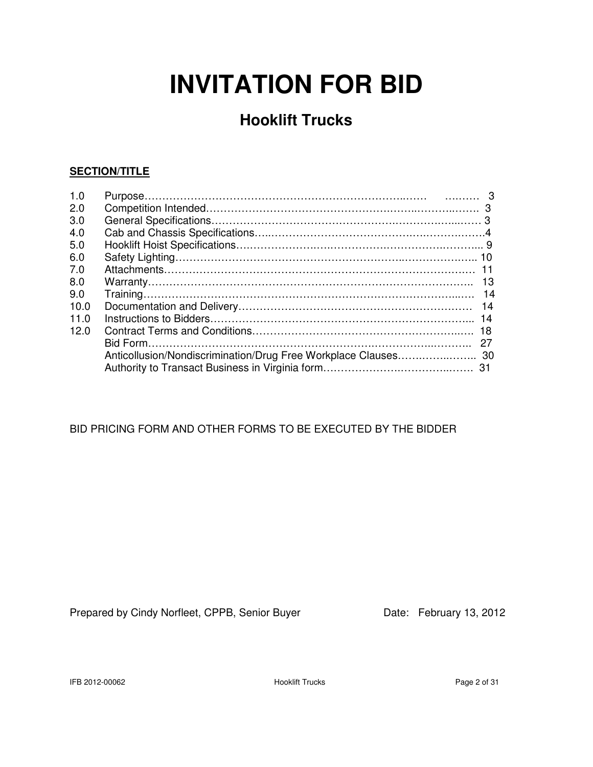# **INVITATION FOR BID**

# **Hooklift Trucks**

## **SECTION/TITLE**

| 1.0  |     |
|------|-----|
| 2.0  |     |
| 3.0  |     |
| 4.0  |     |
| 5.0  |     |
| 6.0  |     |
| 7.0  |     |
| 8.0  | -13 |
| 9.0  |     |
| 10.0 | 14  |
| 11.0 |     |
| 12.0 |     |
|      | 27  |
|      |     |
|      |     |

## BID PRICING FORM AND OTHER FORMS TO BE EXECUTED BY THE BIDDER

Prepared by Cindy Norfleet, CPPB, Senior Buyer Date: February 13, 2012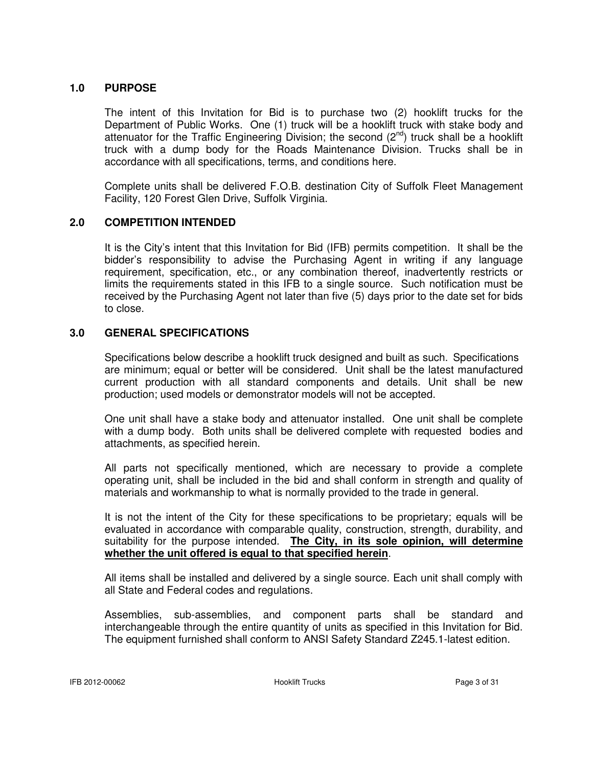#### **1.0 PURPOSE**

 The intent of this Invitation for Bid is to purchase two (2) hooklift trucks for the Department of Public Works. One (1) truck will be a hooklift truck with stake body and attenuator for the Traffic Engineering Division; the second  $(2^{nd})$  truck shall be a hooklift truck with a dump body for the Roads Maintenance Division. Trucks shall be in accordance with all specifications, terms, and conditions here.

 Complete units shall be delivered F.O.B. destination City of Suffolk Fleet Management Facility, 120 Forest Glen Drive, Suffolk Virginia.

#### **2.0 COMPETITION INTENDED**

It is the City's intent that this Invitation for Bid (IFB) permits competition. It shall be the bidder's responsibility to advise the Purchasing Agent in writing if any language requirement, specification, etc., or any combination thereof, inadvertently restricts or limits the requirements stated in this IFB to a single source. Such notification must be received by the Purchasing Agent not later than five (5) days prior to the date set for bids to close.

#### **3.0 GENERAL SPECIFICATIONS**

 Specifications below describe a hooklift truck designed and built as such. Specifications are minimum; equal or better will be considered. Unit shall be the latest manufactured current production with all standard components and details. Unit shall be new production; used models or demonstrator models will not be accepted.

 One unit shall have a stake body and attenuator installed. One unit shall be complete with a dump body. Both units shall be delivered complete with requested bodies and attachments, as specified herein.

 All parts not specifically mentioned, which are necessary to provide a complete operating unit, shall be included in the bid and shall conform in strength and quality of materials and workmanship to what is normally provided to the trade in general.

 It is not the intent of the City for these specifications to be proprietary; equals will be evaluated in accordance with comparable quality, construction, strength, durability, and suitability for the purpose intended. **The City, in its sole opinion, will determine whether the unit offered is equal to that specified herein**.

 All items shall be installed and delivered by a single source. Each unit shall comply with all State and Federal codes and regulations.

 Assemblies, sub-assemblies, and component parts shall be standard and interchangeable through the entire quantity of units as specified in this Invitation for Bid. The equipment furnished shall conform to ANSI Safety Standard Z245.1-latest edition.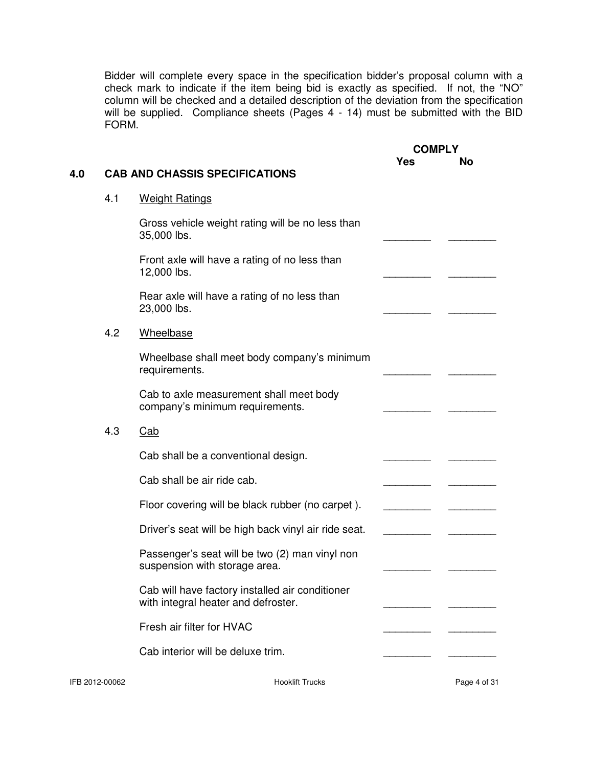Bidder will complete every space in the specification bidder's proposal column with a check mark to indicate if the item being bid is exactly as specified. If not, the "NO" column will be checked and a detailed description of the deviation from the specification will be supplied. Compliance sheets (Pages 4 - 14) must be submitted with the BID FORM.

# **COMPLY Yes No** Gross vehicle weight rating will be no less than 35,000 lbs. Front axle will have a rating of no less than 12,000 lbs. Rear axle will have a rating of no less than 23,000 lbs. 4.2 Wheelbase Wheelbase shall meet body company's minimum requirements. Cab to axle measurement shall meet body company's minimum requirements. 4.3 Cab Cab shall be a conventional design. Cab shall be air ride cab. Floor covering will be black rubber (no carpet). Driver's seat will be high back vinyl air ride seat. Passenger's seat will be two (2) man vinyl non suspension with storage area. Cab will have factory installed air conditioner with integral heater and defroster. Fresh air filter for HVAC Cab interior will be deluxe trim.

### **4.0 CAB AND CHASSIS SPECIFICATIONS**

4.1 Weight Ratings

IFB 2012-00062 Hooklift Trucks Page 4 of 31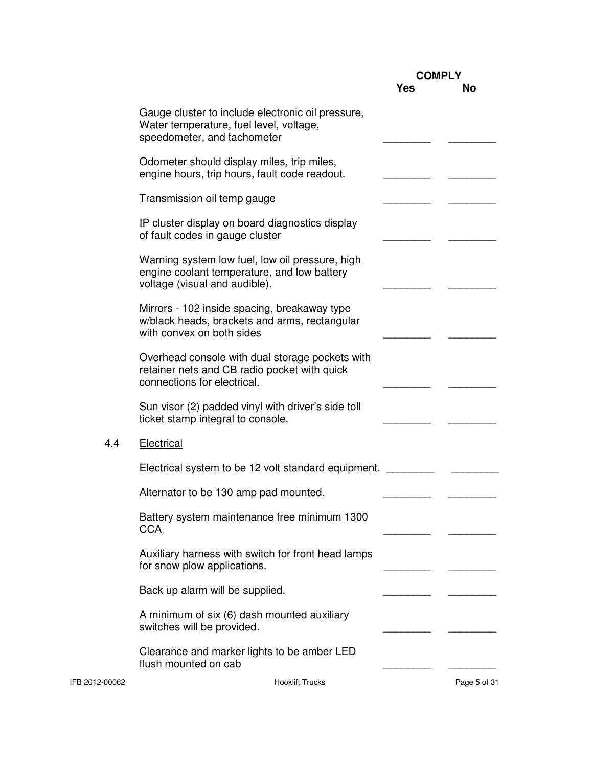|                |                                                                                                                                 |     | <b>COMPLY</b> |
|----------------|---------------------------------------------------------------------------------------------------------------------------------|-----|---------------|
|                |                                                                                                                                 | Yes | <b>No</b>     |
|                | Gauge cluster to include electronic oil pressure,<br>Water temperature, fuel level, voltage,<br>speedometer, and tachometer     |     |               |
|                | Odometer should display miles, trip miles,<br>engine hours, trip hours, fault code readout.                                     |     |               |
|                | Transmission oil temp gauge                                                                                                     |     |               |
|                | IP cluster display on board diagnostics display<br>of fault codes in gauge cluster                                              |     |               |
|                | Warning system low fuel, low oil pressure, high<br>engine coolant temperature, and low battery<br>voltage (visual and audible). |     |               |
|                | Mirrors - 102 inside spacing, breakaway type<br>w/black heads, brackets and arms, rectangular<br>with convex on both sides      |     |               |
|                | Overhead console with dual storage pockets with<br>retainer nets and CB radio pocket with quick<br>connections for electrical.  |     |               |
|                | Sun visor (2) padded vinyl with driver's side toll<br>ticket stamp integral to console.                                         |     |               |
| 4.4            | Electrical                                                                                                                      |     |               |
|                | Electrical system to be 12 volt standard equipment.                                                                             |     |               |
|                | Alternator to be 130 amp pad mounted.                                                                                           |     |               |
|                | Battery system maintenance free minimum 1300<br><b>CCA</b>                                                                      |     |               |
|                | Auxiliary harness with switch for front head lamps<br>for snow plow applications.                                               |     |               |
|                | Back up alarm will be supplied.                                                                                                 |     |               |
|                | A minimum of six (6) dash mounted auxiliary<br>switches will be provided.                                                       |     |               |
|                | Clearance and marker lights to be amber LED<br>flush mounted on cab                                                             |     |               |
| IFB 2012-00062 | <b>Hooklift Trucks</b>                                                                                                          |     | Page 5 of 31  |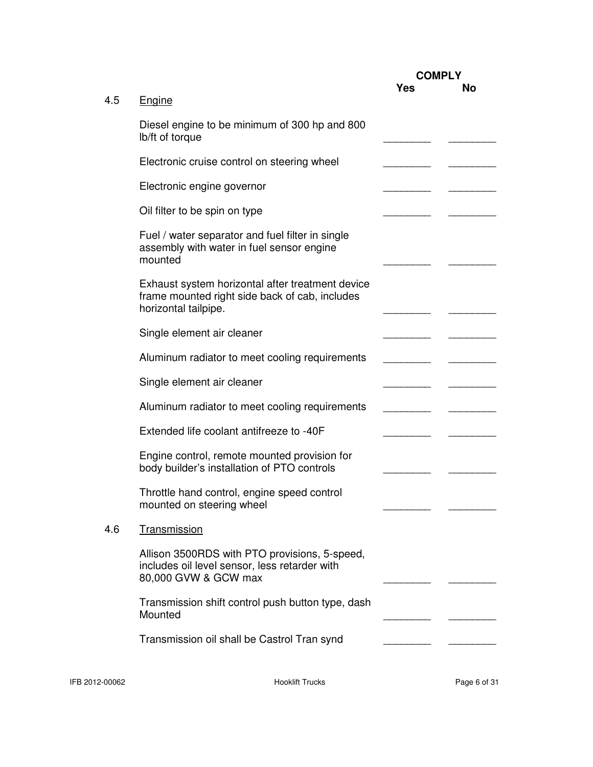|     |                                                                                                                            |            | <b>COMPLY</b> |  |
|-----|----------------------------------------------------------------------------------------------------------------------------|------------|---------------|--|
| 4.5 | <b>Engine</b>                                                                                                              | <b>Yes</b> | <b>No</b>     |  |
|     | Diesel engine to be minimum of 300 hp and 800<br>lb/ft of torque                                                           |            |               |  |
|     | Electronic cruise control on steering wheel                                                                                |            |               |  |
|     | Electronic engine governor                                                                                                 |            |               |  |
|     | Oil filter to be spin on type                                                                                              |            |               |  |
|     | Fuel / water separator and fuel filter in single<br>assembly with water in fuel sensor engine<br>mounted                   |            |               |  |
|     | Exhaust system horizontal after treatment device<br>frame mounted right side back of cab, includes<br>horizontal tailpipe. |            |               |  |
|     | Single element air cleaner                                                                                                 |            |               |  |
|     | Aluminum radiator to meet cooling requirements                                                                             |            |               |  |
|     | Single element air cleaner                                                                                                 |            |               |  |
|     | Aluminum radiator to meet cooling requirements                                                                             |            |               |  |
|     | Extended life coolant antifreeze to -40F                                                                                   |            |               |  |
|     | Engine control, remote mounted provision for<br>body builder's installation of PTO controls                                |            |               |  |
|     | Throttle hand control, engine speed control<br>mounted on steering wheel                                                   |            |               |  |
| 4.6 | <b>Transmission</b>                                                                                                        |            |               |  |
|     | Allison 3500RDS with PTO provisions, 5-speed,<br>includes oil level sensor, less retarder with<br>80,000 GVW & GCW max     |            |               |  |
|     | Transmission shift control push button type, dash<br>Mounted                                                               |            |               |  |
|     | Transmission oil shall be Castrol Tran synd                                                                                |            |               |  |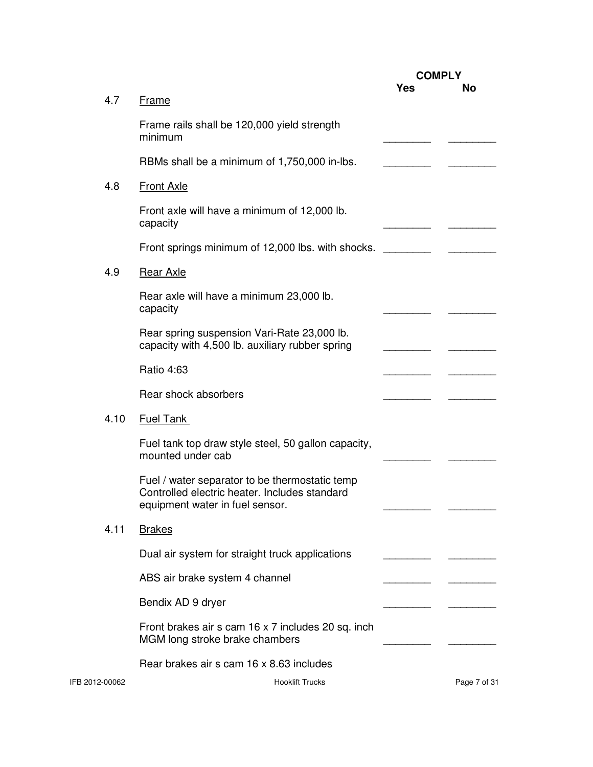|                |                                                                                                                                    |     | <b>COMPLY</b> |  |
|----------------|------------------------------------------------------------------------------------------------------------------------------------|-----|---------------|--|
| 4.7            | Frame                                                                                                                              | Yes | <b>No</b>     |  |
|                | Frame rails shall be 120,000 yield strength<br>minimum                                                                             |     |               |  |
|                | RBMs shall be a minimum of 1,750,000 in-lbs.                                                                                       |     |               |  |
| 4.8            | <b>Front Axle</b>                                                                                                                  |     |               |  |
|                | Front axle will have a minimum of 12,000 lb.<br>capacity                                                                           |     |               |  |
|                | Front springs minimum of 12,000 lbs. with shocks.                                                                                  |     |               |  |
| 4.9            | Rear Axle                                                                                                                          |     |               |  |
|                | Rear axle will have a minimum 23,000 lb.<br>capacity                                                                               |     |               |  |
|                | Rear spring suspension Vari-Rate 23,000 lb.<br>capacity with 4,500 lb. auxiliary rubber spring                                     |     |               |  |
|                | Ratio 4:63                                                                                                                         |     |               |  |
|                | Rear shock absorbers                                                                                                               |     |               |  |
| 4.10           | <b>Fuel Tank</b>                                                                                                                   |     |               |  |
|                | Fuel tank top draw style steel, 50 gallon capacity,<br>mounted under cab                                                           |     |               |  |
|                | Fuel / water separator to be thermostatic temp<br>Controlled electric heater. Includes standard<br>equipment water in fuel sensor. |     |               |  |
| 4.11           | <b>Brakes</b>                                                                                                                      |     |               |  |
|                | Dual air system for straight truck applications                                                                                    |     |               |  |
|                | ABS air brake system 4 channel                                                                                                     |     |               |  |
|                | Bendix AD 9 dryer                                                                                                                  |     |               |  |
|                | Front brakes air s cam 16 x 7 includes 20 sq. inch<br>MGM long stroke brake chambers                                               |     |               |  |
|                | Rear brakes air s cam 16 x 8.63 includes                                                                                           |     |               |  |
| IFB 2012-00062 | <b>Hooklift Trucks</b>                                                                                                             |     | Page 7 of 31  |  |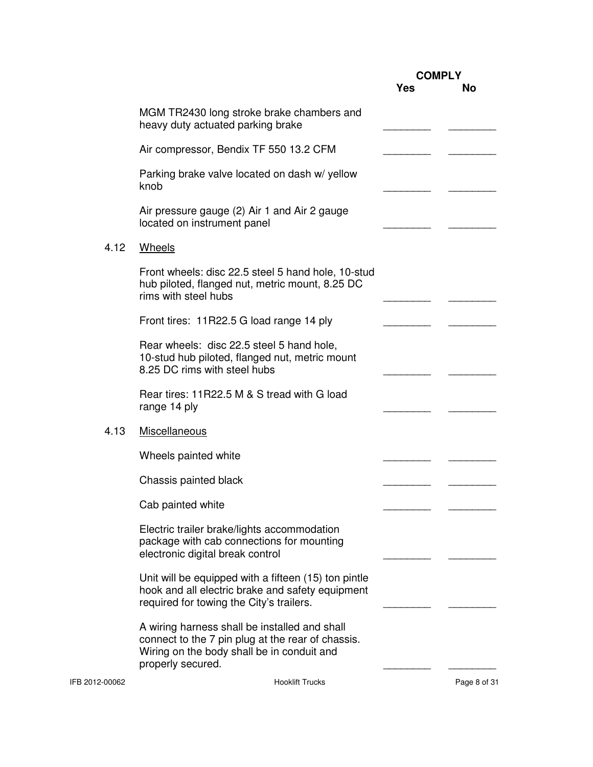|                |                                                                                                                                                                       | <b>COMPLY</b> |              |
|----------------|-----------------------------------------------------------------------------------------------------------------------------------------------------------------------|---------------|--------------|
|                |                                                                                                                                                                       | Yes           | <b>No</b>    |
|                | MGM TR2430 long stroke brake chambers and<br>heavy duty actuated parking brake                                                                                        |               |              |
|                | Air compressor, Bendix TF 550 13.2 CFM                                                                                                                                |               |              |
|                | Parking brake valve located on dash w/ yellow<br>knob                                                                                                                 |               |              |
|                | Air pressure gauge (2) Air 1 and Air 2 gauge<br>located on instrument panel                                                                                           |               |              |
| 4.12           | <b>Wheels</b>                                                                                                                                                         |               |              |
|                | Front wheels: disc 22.5 steel 5 hand hole, 10-stud<br>hub piloted, flanged nut, metric mount, 8.25 DC<br>rims with steel hubs                                         |               |              |
|                | Front tires: 11R22.5 G load range 14 ply                                                                                                                              |               |              |
|                | Rear wheels: disc 22.5 steel 5 hand hole,<br>10-stud hub piloted, flanged nut, metric mount<br>8.25 DC rims with steel hubs                                           |               |              |
|                | Rear tires: 11R22.5 M & S tread with G load<br>range 14 ply                                                                                                           |               |              |
| 4.13           | Miscellaneous                                                                                                                                                         |               |              |
|                | Wheels painted white                                                                                                                                                  |               |              |
|                | Chassis painted black                                                                                                                                                 |               |              |
|                | Cab painted white                                                                                                                                                     |               |              |
|                | Electric trailer brake/lights accommodation<br>package with cab connections for mounting<br>electronic digital break control                                          |               |              |
|                | Unit will be equipped with a fifteen (15) ton pintle<br>hook and all electric brake and safety equipment<br>required for towing the City's trailers.                  |               |              |
|                | A wiring harness shall be installed and shall<br>connect to the 7 pin plug at the rear of chassis.<br>Wiring on the body shall be in conduit and<br>properly secured. |               |              |
| IFB 2012-00062 | <b>Hooklift Trucks</b>                                                                                                                                                |               | Page 8 of 31 |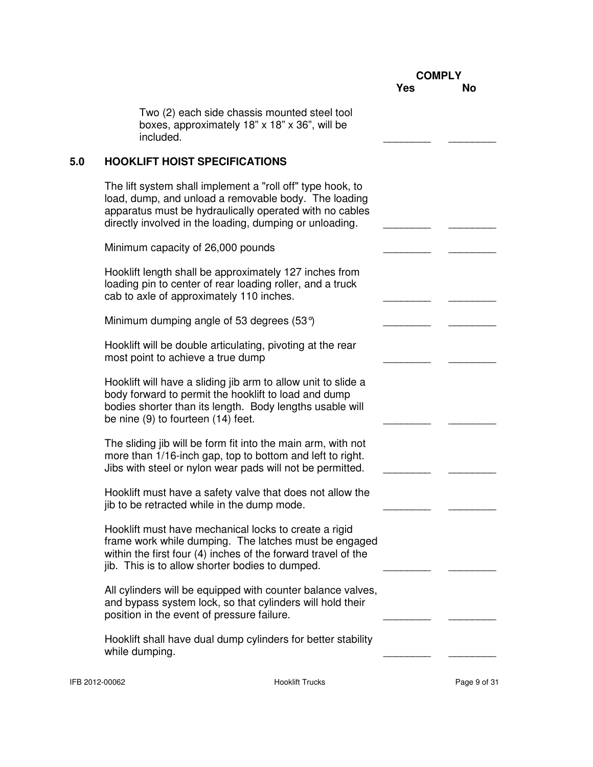|                |                                                                                                                                                                                                                                          | <b>COMPLY</b> |              |
|----------------|------------------------------------------------------------------------------------------------------------------------------------------------------------------------------------------------------------------------------------------|---------------|--------------|
|                |                                                                                                                                                                                                                                          | <b>Yes</b>    | No           |
|                | Two (2) each side chassis mounted steel tool<br>boxes, approximately 18" x 18" x 36", will be<br>included.                                                                                                                               |               |              |
| 5.0            | <b>HOOKLIFT HOIST SPECIFICATIONS</b>                                                                                                                                                                                                     |               |              |
|                | The lift system shall implement a "roll off" type hook, to<br>load, dump, and unload a removable body. The loading<br>apparatus must be hydraulically operated with no cables<br>directly involved in the loading, dumping or unloading. |               |              |
|                | Minimum capacity of 26,000 pounds                                                                                                                                                                                                        |               |              |
|                | Hooklift length shall be approximately 127 inches from<br>loading pin to center of rear loading roller, and a truck<br>cab to axle of approximately 110 inches.                                                                          |               |              |
|                | Minimum dumping angle of 53 degrees $(53^{\circ})$                                                                                                                                                                                       |               |              |
|                | Hooklift will be double articulating, pivoting at the rear<br>most point to achieve a true dump                                                                                                                                          |               |              |
|                | Hooklift will have a sliding jib arm to allow unit to slide a<br>body forward to permit the hooklift to load and dump<br>bodies shorter than its length. Body lengths usable will<br>be nine (9) to fourteen (14) feet.                  |               |              |
|                | The sliding jib will be form fit into the main arm, with not<br>more than 1/16-inch gap, top to bottom and left to right.<br>Jibs with steel or nylon wear pads will not be permitted.                                                   |               |              |
|                | Hooklift must have a safety valve that does not allow the<br>jib to be retracted while in the dump mode.                                                                                                                                 |               |              |
|                | Hooklift must have mechanical locks to create a rigid<br>frame work while dumping. The latches must be engaged<br>within the first four (4) inches of the forward travel of the<br>jib. This is to allow shorter bodies to dumped.       |               |              |
|                | All cylinders will be equipped with counter balance valves,<br>and bypass system lock, so that cylinders will hold their<br>position in the event of pressure failure.                                                                   |               |              |
|                | Hooklift shall have dual dump cylinders for better stability<br>while dumping.                                                                                                                                                           |               |              |
| IFB 2012-00062 | <b>Hooklift Trucks</b>                                                                                                                                                                                                                   |               | Page 9 of 31 |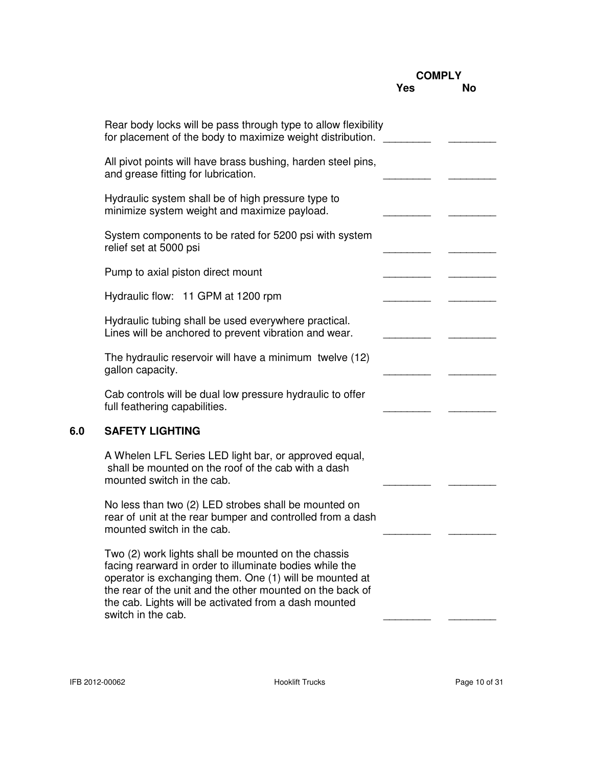|                                                                                                                                                                                                                                                                                                                       |     | <b>COMPLY</b> |
|-----------------------------------------------------------------------------------------------------------------------------------------------------------------------------------------------------------------------------------------------------------------------------------------------------------------------|-----|---------------|
|                                                                                                                                                                                                                                                                                                                       | Yes | No            |
| Rear body locks will be pass through type to allow flexibility<br>for placement of the body to maximize weight distribution.                                                                                                                                                                                          |     |               |
| All pivot points will have brass bushing, harden steel pins,<br>and grease fitting for lubrication.                                                                                                                                                                                                                   |     |               |
| Hydraulic system shall be of high pressure type to<br>minimize system weight and maximize payload.                                                                                                                                                                                                                    |     |               |
| System components to be rated for 5200 psi with system<br>relief set at 5000 psi                                                                                                                                                                                                                                      |     |               |
| Pump to axial piston direct mount                                                                                                                                                                                                                                                                                     |     |               |
| Hydraulic flow: 11 GPM at 1200 rpm                                                                                                                                                                                                                                                                                    |     |               |
| Hydraulic tubing shall be used everywhere practical.<br>Lines will be anchored to prevent vibration and wear.                                                                                                                                                                                                         |     |               |
| The hydraulic reservoir will have a minimum twelve (12)<br>gallon capacity.                                                                                                                                                                                                                                           |     |               |
| Cab controls will be dual low pressure hydraulic to offer<br>full feathering capabilities.                                                                                                                                                                                                                            |     |               |
| <b>SAFETY LIGHTING</b>                                                                                                                                                                                                                                                                                                |     |               |
| A Whelen LFL Series LED light bar, or approved equal,<br>shall be mounted on the roof of the cab with a dash<br>mounted switch in the cab.                                                                                                                                                                            |     |               |
| No less than two (2) LED strobes shall be mounted on<br>rear of unit at the rear bumper and controlled from a dash<br>mounted switch in the cab.                                                                                                                                                                      |     |               |
| Two (2) work lights shall be mounted on the chassis<br>facing rearward in order to illuminate bodies while the<br>operator is exchanging them. One (1) will be mounted at<br>the rear of the unit and the other mounted on the back of<br>the cab. Lights will be activated from a dash mounted<br>switch in the cab. |     |               |
|                                                                                                                                                                                                                                                                                                                       |     |               |

**6.0 SAFETY LIGHTING**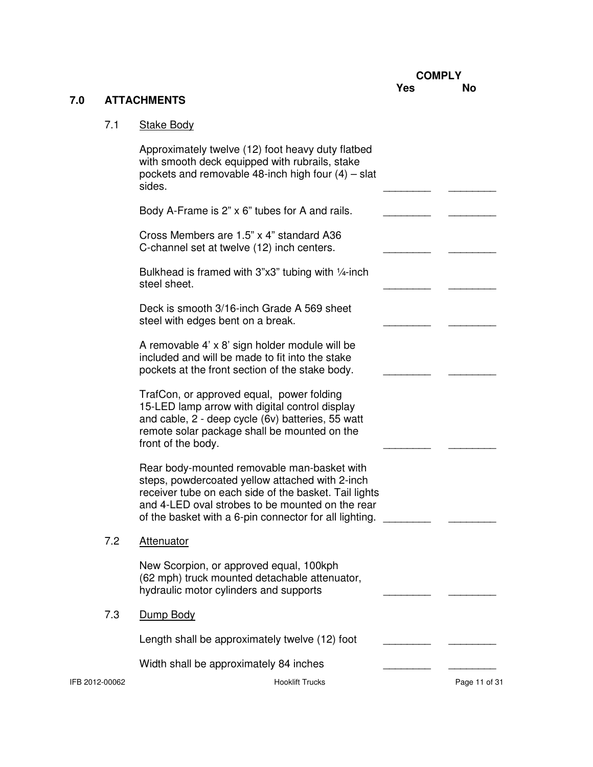# **7.0 ATTACHMENTS**

# 7.1 Stake Body

|                | Cross Members are 1.5" x 4" standard A36<br>C-channel set at twelve (12) inch centers.                                                                                                                                                                                |               |
|----------------|-----------------------------------------------------------------------------------------------------------------------------------------------------------------------------------------------------------------------------------------------------------------------|---------------|
|                | Bulkhead is framed with $3"x3"$ tubing with $\frac{1}{4}$ -inch<br>steel sheet.                                                                                                                                                                                       |               |
|                | Deck is smooth 3/16-inch Grade A 569 sheet<br>steel with edges bent on a break.                                                                                                                                                                                       |               |
|                | A removable 4' x 8' sign holder module will be<br>included and will be made to fit into the stake<br>pockets at the front section of the stake body.                                                                                                                  |               |
|                | TrafCon, or approved equal, power folding<br>15-LED lamp arrow with digital control display<br>and cable, 2 - deep cycle (6v) batteries, 55 watt<br>remote solar package shall be mounted on the<br>front of the body.                                                |               |
|                | Rear body-mounted removable man-basket with<br>steps, powdercoated yellow attached with 2-inch<br>receiver tube on each side of the basket. Tail lights<br>and 4-LED oval strobes to be mounted on the rear<br>of the basket with a 6-pin connector for all lighting. |               |
| 7.2            | Attenuator                                                                                                                                                                                                                                                            |               |
|                | New Scorpion, or approved equal, 100kph<br>(62 mph) truck mounted detachable attenuator,<br>hydraulic motor cylinders and supports                                                                                                                                    |               |
| 7.3            | Dump Body                                                                                                                                                                                                                                                             |               |
|                | Length shall be approximately twelve (12) foot                                                                                                                                                                                                                        |               |
|                | Width shall be approximately 84 inches                                                                                                                                                                                                                                |               |
| IFB 2012-00062 | <b>Hooklift Trucks</b>                                                                                                                                                                                                                                                | Page 11 of 31 |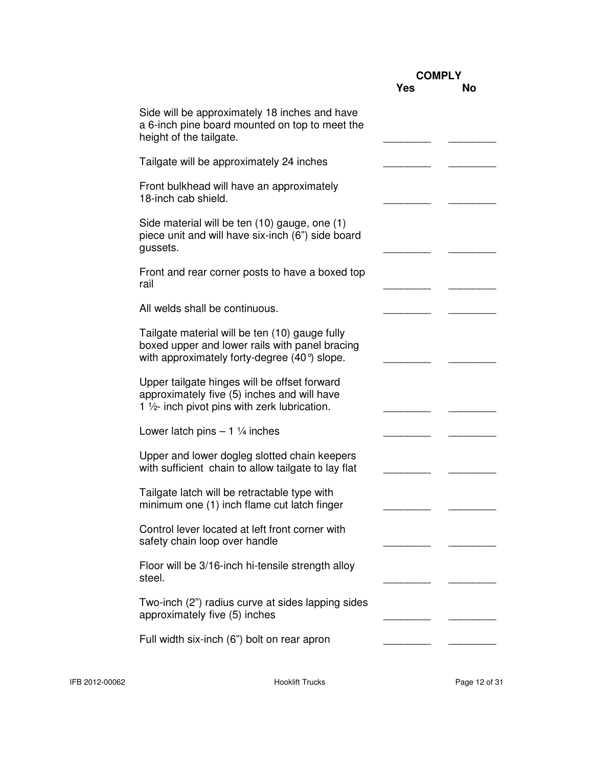|                                                                                                                                                           |            | <b>COMPLY</b> |  |
|-----------------------------------------------------------------------------------------------------------------------------------------------------------|------------|---------------|--|
|                                                                                                                                                           | <b>Yes</b> | <b>No</b>     |  |
| Side will be approximately 18 inches and have<br>a 6-inch pine board mounted on top to meet the<br>height of the tailgate.                                |            |               |  |
| Tailgate will be approximately 24 inches                                                                                                                  |            |               |  |
| Front bulkhead will have an approximately<br>18-inch cab shield.                                                                                          |            |               |  |
| Side material will be ten (10) gauge, one (1)<br>piece unit and will have six-inch (6") side board<br>gussets.                                            |            |               |  |
| Front and rear corner posts to have a boxed top<br>rail                                                                                                   |            |               |  |
| All welds shall be continuous.                                                                                                                            |            |               |  |
| Tailgate material will be ten (10) gauge fully<br>boxed upper and lower rails with panel bracing<br>with approximately forty-degree $(40^{\circ})$ slope. |            |               |  |
| Upper tailgate hinges will be offset forward<br>approximately five (5) inches and will have<br>1 1/2- inch pivot pins with zerk lubrication.              |            |               |  |
| Lower latch pins $-1\frac{1}{4}$ inches                                                                                                                   |            |               |  |
| Upper and lower dogleg slotted chain keepers<br>with sufficient chain to allow tailgate to lay flat                                                       |            |               |  |
| Tailgate latch will be retractable type with<br>minimum one (1) inch flame cut latch finger                                                               |            |               |  |
| Control lever located at left front corner with<br>safety chain loop over handle                                                                          |            |               |  |
| Floor will be 3/16-inch hi-tensile strength alloy<br>steel.                                                                                               |            |               |  |
| Two-inch (2") radius curve at sides lapping sides<br>approximately five (5) inches                                                                        |            |               |  |
| Full width six-inch (6") bolt on rear apron                                                                                                               |            |               |  |
|                                                                                                                                                           |            |               |  |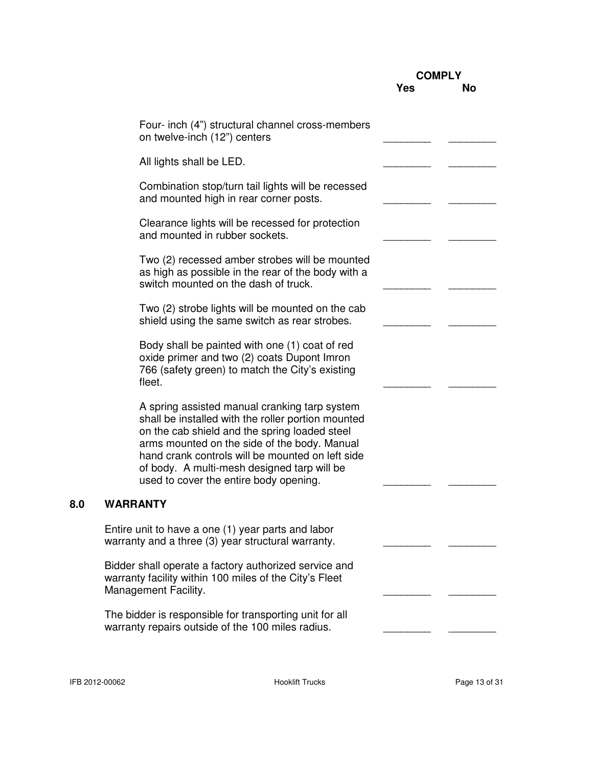|     |                                                                                                                                                                                                                                                                                                                                                   | <b>COMPLY</b> |    |
|-----|---------------------------------------------------------------------------------------------------------------------------------------------------------------------------------------------------------------------------------------------------------------------------------------------------------------------------------------------------|---------------|----|
|     |                                                                                                                                                                                                                                                                                                                                                   | Yes           | Νo |
|     | Four- inch (4") structural channel cross-members<br>on twelve-inch (12") centers                                                                                                                                                                                                                                                                  |               |    |
|     | All lights shall be LED.                                                                                                                                                                                                                                                                                                                          |               |    |
|     | Combination stop/turn tail lights will be recessed<br>and mounted high in rear corner posts.                                                                                                                                                                                                                                                      |               |    |
|     | Clearance lights will be recessed for protection<br>and mounted in rubber sockets.                                                                                                                                                                                                                                                                |               |    |
|     | Two (2) recessed amber strobes will be mounted<br>as high as possible in the rear of the body with a<br>switch mounted on the dash of truck.                                                                                                                                                                                                      |               |    |
|     | Two (2) strobe lights will be mounted on the cab<br>shield using the same switch as rear strobes.                                                                                                                                                                                                                                                 |               |    |
|     | Body shall be painted with one (1) coat of red<br>oxide primer and two (2) coats Dupont Imron<br>766 (safety green) to match the City's existing<br>fleet.                                                                                                                                                                                        |               |    |
|     | A spring assisted manual cranking tarp system<br>shall be installed with the roller portion mounted<br>on the cab shield and the spring loaded steel<br>arms mounted on the side of the body. Manual<br>hand crank controls will be mounted on left side<br>of body. A multi-mesh designed tarp will be<br>used to cover the entire body opening. |               |    |
| 8.U | <b>WARRANTY</b>                                                                                                                                                                                                                                                                                                                                   |               |    |
|     | Entire unit to have a one (1) year parts and labor<br>warranty and a three (3) year structural warranty.                                                                                                                                                                                                                                          |               |    |
|     | Bidder shall operate a factory authorized service and<br>warranty facility within 100 miles of the City's Fleet<br>Management Facility.                                                                                                                                                                                                           |               |    |
|     | The bidder is responsible for transporting unit for all<br>warranty repairs outside of the 100 miles radius.                                                                                                                                                                                                                                      |               |    |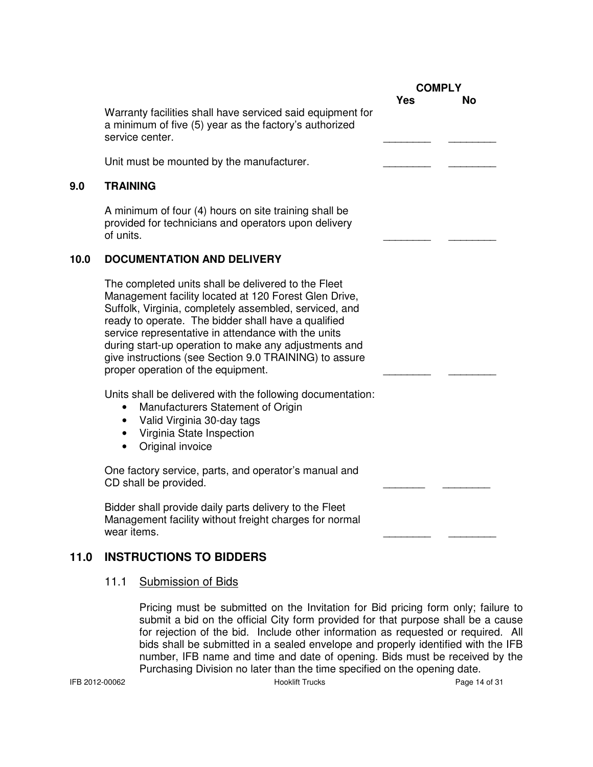|      |                                                                                                                                                                                                                                                                                                                                                                                                                                               | <b>COMPLY</b> |    |
|------|-----------------------------------------------------------------------------------------------------------------------------------------------------------------------------------------------------------------------------------------------------------------------------------------------------------------------------------------------------------------------------------------------------------------------------------------------|---------------|----|
|      | Warranty facilities shall have serviced said equipment for<br>a minimum of five (5) year as the factory's authorized<br>service center.                                                                                                                                                                                                                                                                                                       | Yes           | No |
|      | Unit must be mounted by the manufacturer.                                                                                                                                                                                                                                                                                                                                                                                                     |               |    |
| 9.0  | <b>TRAINING</b>                                                                                                                                                                                                                                                                                                                                                                                                                               |               |    |
|      | A minimum of four (4) hours on site training shall be<br>provided for technicians and operators upon delivery<br>of units.                                                                                                                                                                                                                                                                                                                    |               |    |
| 10.0 | <b>DOCUMENTATION AND DELIVERY</b>                                                                                                                                                                                                                                                                                                                                                                                                             |               |    |
|      | The completed units shall be delivered to the Fleet<br>Management facility located at 120 Forest Glen Drive,<br>Suffolk, Virginia, completely assembled, serviced, and<br>ready to operate. The bidder shall have a qualified<br>service representative in attendance with the units<br>during start-up operation to make any adjustments and<br>give instructions (see Section 9.0 TRAINING) to assure<br>proper operation of the equipment. |               |    |
|      | Units shall be delivered with the following documentation:<br>Manufacturers Statement of Origin<br>Valid Virginia 30-day tags<br>Virginia State Inspection<br>Original invoice                                                                                                                                                                                                                                                                |               |    |
|      | One factory service, parts, and operator's manual and<br>CD shall be provided.                                                                                                                                                                                                                                                                                                                                                                |               |    |
|      | Bidder shall provide daily parts delivery to the Fleet<br>Management facility without freight charges for normal<br>wear items.                                                                                                                                                                                                                                                                                                               |               |    |
| 11.0 | <b>INSTRUCTIONS TO BIDDERS</b>                                                                                                                                                                                                                                                                                                                                                                                                                |               |    |

## 11.1 Submission of Bids

Pricing must be submitted on the Invitation for Bid pricing form only; failure to submit a bid on the official City form provided for that purpose shall be a cause for rejection of the bid. Include other information as requested or required. All bids shall be submitted in a sealed envelope and properly identified with the IFB number, IFB name and time and date of opening. Bids must be received by the Purchasing Division no later than the time specified on the opening date.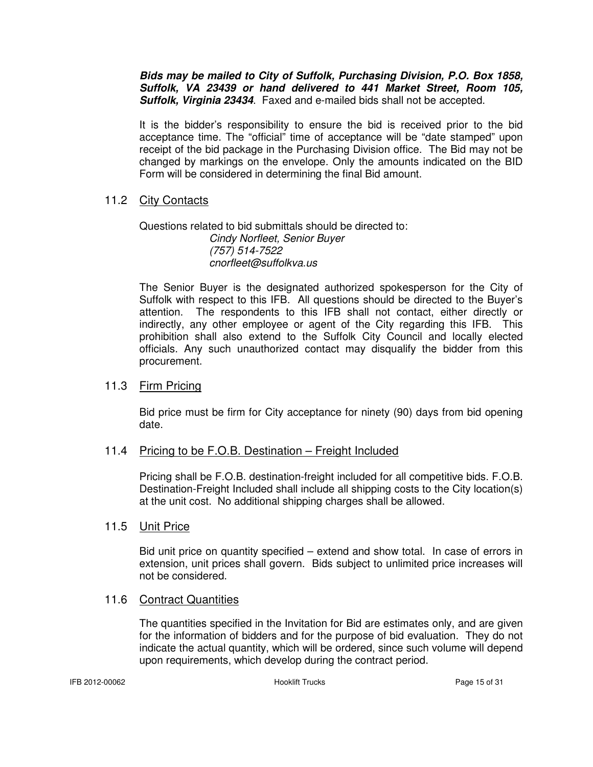**Bids may be mailed to City of Suffolk, Purchasing Division, P.O. Box 1858, Suffolk, VA 23439 or hand delivered to 441 Market Street, Room 105, Suffolk, Virginia 23434**. Faxed and e-mailed bids shall not be accepted.

It is the bidder's responsibility to ensure the bid is received prior to the bid acceptance time. The "official" time of acceptance will be "date stamped" upon receipt of the bid package in the Purchasing Division office. The Bid may not be changed by markings on the envelope. Only the amounts indicated on the BID Form will be considered in determining the final Bid amount.

#### 11.2 City Contacts

 Questions related to bid submittals should be directed to: Cindy Norfleet, Senior Buyer (757) 514-7522 cnorfleet@suffolkva.us

The Senior Buyer is the designated authorized spokesperson for the City of Suffolk with respect to this IFB. All questions should be directed to the Buyer's attention. The respondents to this IFB shall not contact, either directly or indirectly, any other employee or agent of the City regarding this IFB. This prohibition shall also extend to the Suffolk City Council and locally elected officials. Any such unauthorized contact may disqualify the bidder from this procurement.

#### 11.3 Firm Pricing

Bid price must be firm for City acceptance for ninety (90) days from bid opening date.

#### 11.4 Pricing to be F.O.B. Destination – Freight Included

Pricing shall be F.O.B. destination-freight included for all competitive bids. F.O.B. Destination-Freight Included shall include all shipping costs to the City location(s) at the unit cost. No additional shipping charges shall be allowed.

#### 11.5 Unit Price

Bid unit price on quantity specified – extend and show total. In case of errors in extension, unit prices shall govern. Bids subject to unlimited price increases will not be considered.

#### 11.6 Contract Quantities

The quantities specified in the Invitation for Bid are estimates only, and are given for the information of bidders and for the purpose of bid evaluation. They do not indicate the actual quantity, which will be ordered, since such volume will depend upon requirements, which develop during the contract period.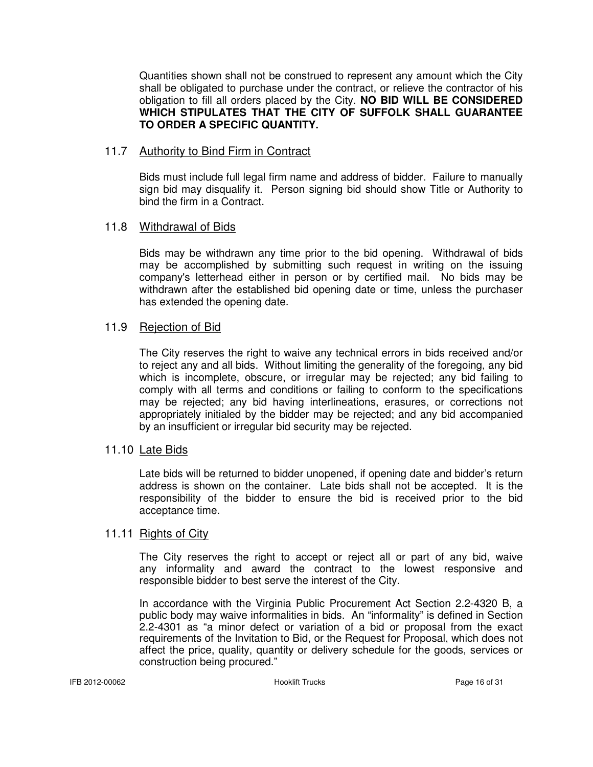Quantities shown shall not be construed to represent any amount which the City shall be obligated to purchase under the contract, or relieve the contractor of his obligation to fill all orders placed by the City. **NO BID WILL BE CONSIDERED WHICH STIPULATES THAT THE CITY OF SUFFOLK SHALL GUARANTEE TO ORDER A SPECIFIC QUANTITY.** 

#### 11.7 Authority to Bind Firm in Contract

Bids must include full legal firm name and address of bidder. Failure to manually sign bid may disqualify it. Person signing bid should show Title or Authority to bind the firm in a Contract.

#### 11.8 Withdrawal of Bids

Bids may be withdrawn any time prior to the bid opening. Withdrawal of bids may be accomplished by submitting such request in writing on the issuing company's letterhead either in person or by certified mail. No bids may be withdrawn after the established bid opening date or time, unless the purchaser has extended the opening date.

#### 11.9 Rejection of Bid

The City reserves the right to waive any technical errors in bids received and/or to reject any and all bids. Without limiting the generality of the foregoing, any bid which is incomplete, obscure, or irregular may be rejected; any bid failing to comply with all terms and conditions or failing to conform to the specifications may be rejected; any bid having interlineations, erasures, or corrections not appropriately initialed by the bidder may be rejected; and any bid accompanied by an insufficient or irregular bid security may be rejected.

#### 11.10 Late Bids

Late bids will be returned to bidder unopened, if opening date and bidder's return address is shown on the container. Late bids shall not be accepted. It is the responsibility of the bidder to ensure the bid is received prior to the bid acceptance time.

#### 11.11 Rights of City

 The City reserves the right to accept or reject all or part of any bid, waive any informality and award the contract to the lowest responsive and responsible bidder to best serve the interest of the City.

 In accordance with the Virginia Public Procurement Act Section 2.2-4320 B, a public body may waive informalities in bids. An "informality" is defined in Section 2.2-4301 as "a minor defect or variation of a bid or proposal from the exact requirements of the Invitation to Bid, or the Request for Proposal, which does not affect the price, quality, quantity or delivery schedule for the goods, services or construction being procured."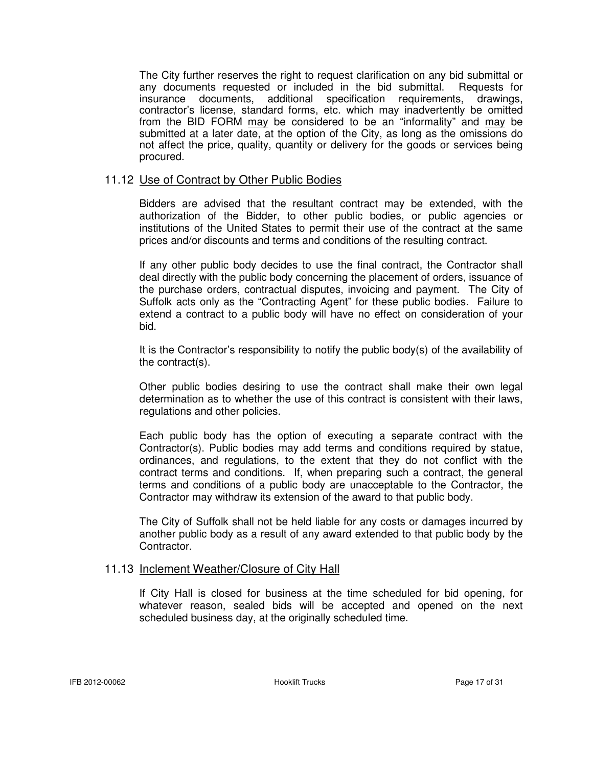The City further reserves the right to request clarification on any bid submittal or any documents requested or included in the bid submittal. Requests for insurance documents, additional specification requirements, drawings, contractor's license, standard forms, etc. which may inadvertently be omitted from the BID FORM may be considered to be an "informality" and may be submitted at a later date, at the option of the City, as long as the omissions do not affect the price, quality, quantity or delivery for the goods or services being procured.

#### 11.12 Use of Contract by Other Public Bodies

Bidders are advised that the resultant contract may be extended, with the authorization of the Bidder, to other public bodies, or public agencies or institutions of the United States to permit their use of the contract at the same prices and/or discounts and terms and conditions of the resulting contract.

If any other public body decides to use the final contract, the Contractor shall deal directly with the public body concerning the placement of orders, issuance of the purchase orders, contractual disputes, invoicing and payment. The City of Suffolk acts only as the "Contracting Agent" for these public bodies. Failure to extend a contract to a public body will have no effect on consideration of your bid.

It is the Contractor's responsibility to notify the public body(s) of the availability of the contract(s).

Other public bodies desiring to use the contract shall make their own legal determination as to whether the use of this contract is consistent with their laws, regulations and other policies.

Each public body has the option of executing a separate contract with the Contractor(s). Public bodies may add terms and conditions required by statue, ordinances, and regulations, to the extent that they do not conflict with the contract terms and conditions. If, when preparing such a contract, the general terms and conditions of a public body are unacceptable to the Contractor, the Contractor may withdraw its extension of the award to that public body.

The City of Suffolk shall not be held liable for any costs or damages incurred by another public body as a result of any award extended to that public body by the Contractor.

#### 11.13 Inclement Weather/Closure of City Hall

If City Hall is closed for business at the time scheduled for bid opening, for whatever reason, sealed bids will be accepted and opened on the next scheduled business day, at the originally scheduled time.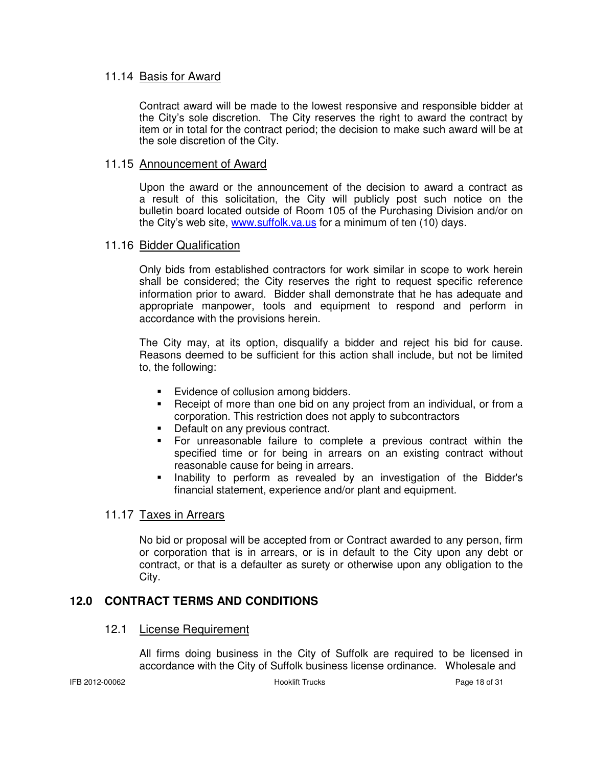#### 11.14 Basis for Award

 Contract award will be made to the lowest responsive and responsible bidder at the City's sole discretion. The City reserves the right to award the contract by item or in total for the contract period; the decision to make such award will be at the sole discretion of the City.

#### 11.15 Announcement of Award

 Upon the award or the announcement of the decision to award a contract as a result of this solicitation, the City will publicly post such notice on the bulletin board located outside of Room 105 of the Purchasing Division and/or on the City's web site, www.suffolk.va.us for a minimum of ten (10) days.

#### 11.16 Bidder Qualification

Only bids from established contractors for work similar in scope to work herein shall be considered; the City reserves the right to request specific reference information prior to award. Bidder shall demonstrate that he has adequate and appropriate manpower, tools and equipment to respond and perform in accordance with the provisions herein.

The City may, at its option, disqualify a bidder and reject his bid for cause. Reasons deemed to be sufficient for this action shall include, but not be limited to, the following:

- Evidence of collusion among bidders.
- Receipt of more than one bid on any project from an individual, or from a corporation. This restriction does not apply to subcontractors
- Default on any previous contract.
- For unreasonable failure to complete a previous contract within the specified time or for being in arrears on an existing contract without reasonable cause for being in arrears.
- Inability to perform as revealed by an investigation of the Bidder's financial statement, experience and/or plant and equipment.

#### 11.17 Taxes in Arrears

No bid or proposal will be accepted from or Contract awarded to any person, firm or corporation that is in arrears, or is in default to the City upon any debt or contract, or that is a defaulter as surety or otherwise upon any obligation to the City.

### **12.0 CONTRACT TERMS AND CONDITIONS**

#### 12.1 License Requirement

All firms doing business in the City of Suffolk are required to be licensed in accordance with the City of Suffolk business license ordinance. Wholesale and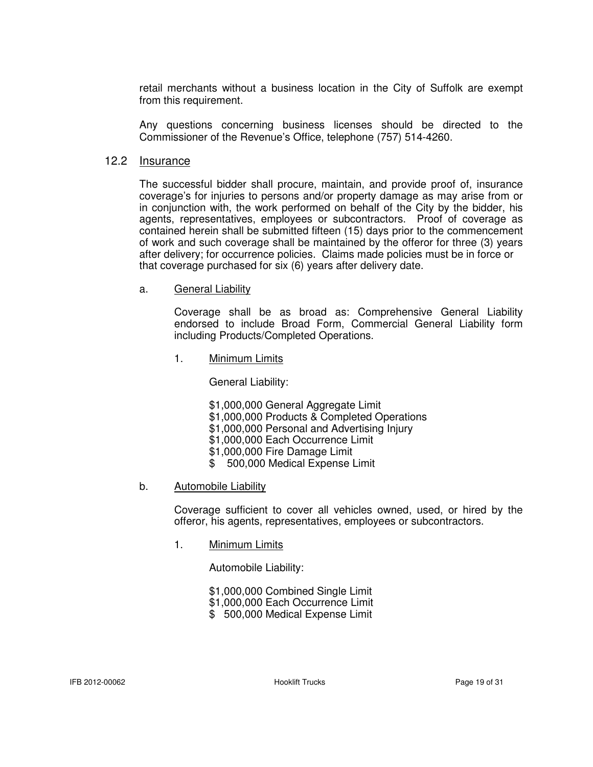retail merchants without a business location in the City of Suffolk are exempt from this requirement.

Any questions concerning business licenses should be directed to the Commissioner of the Revenue's Office, telephone (757) 514-4260.

#### 12.2 Insurance

 The successful bidder shall procure, maintain, and provide proof of, insurance coverage's for injuries to persons and/or property damage as may arise from or in conjunction with, the work performed on behalf of the City by the bidder, his agents, representatives, employees or subcontractors. Proof of coverage as contained herein shall be submitted fifteen (15) days prior to the commencement of work and such coverage shall be maintained by the offeror for three (3) years after delivery; for occurrence policies. Claims made policies must be in force or that coverage purchased for six (6) years after delivery date.

#### a. General Liability

 Coverage shall be as broad as: Comprehensive General Liability endorsed to include Broad Form, Commercial General Liability form including Products/Completed Operations.

1. Minimum Limits

General Liability:

- \$1,000,000 General Aggregate Limit
- \$1,000,000 Products & Completed Operations
- \$1,000,000 Personal and Advertising Injury
- \$1,000,000 Each Occurrence Limit
- \$1,000,000 Fire Damage Limit
- \$ 500,000 Medical Expense Limit

#### b. Automobile Liability

 Coverage sufficient to cover all vehicles owned, used, or hired by the offeror, his agents, representatives, employees or subcontractors.

1. Minimum Limits

Automobile Liability:

- \$1,000,000 Combined Single Limit
- \$1,000,000 Each Occurrence Limit
- \$ 500,000 Medical Expense Limit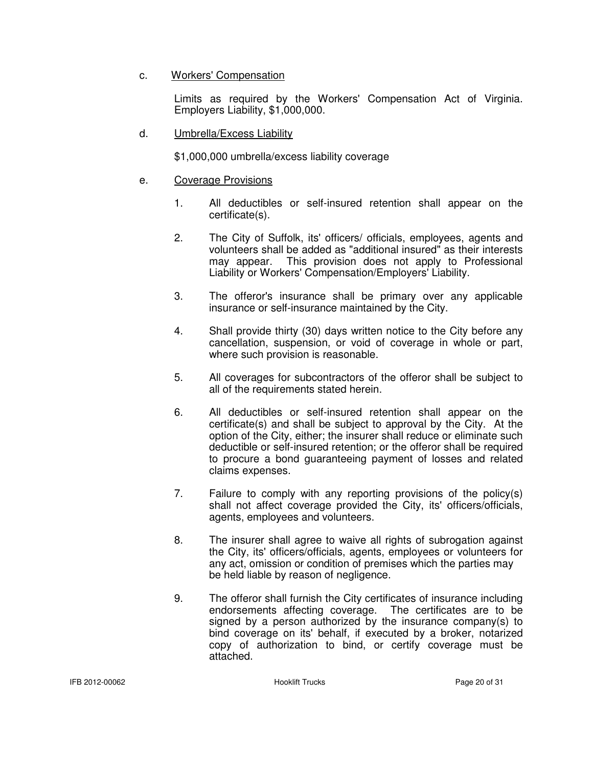#### c. Workers' Compensation

 Limits as required by the Workers' Compensation Act of Virginia. Employers Liability, \$1,000,000.

d. Umbrella/Excess Liability

\$1,000,000 umbrella/excess liability coverage

- e. Coverage Provisions
	- 1. All deductibles or self-insured retention shall appear on the certificate(s).
	- 2. The City of Suffolk, its' officers/ officials, employees, agents and volunteers shall be added as "additional insured" as their interests may appear. This provision does not apply to Professional Liability or Workers' Compensation/Employers' Liability.
	- 3. The offeror's insurance shall be primary over any applicable insurance or self-insurance maintained by the City.
	- 4. Shall provide thirty (30) days written notice to the City before any cancellation, suspension, or void of coverage in whole or part, where such provision is reasonable.
	- 5. All coverages for subcontractors of the offeror shall be subject to all of the requirements stated herein.
	- 6. All deductibles or self-insured retention shall appear on the certificate(s) and shall be subject to approval by the City. At the option of the City, either; the insurer shall reduce or eliminate such deductible or self-insured retention; or the offeror shall be required to procure a bond guaranteeing payment of losses and related claims expenses.
	- 7. Failure to comply with any reporting provisions of the policy(s) shall not affect coverage provided the City, its' officers/officials, agents, employees and volunteers.
	- 8. The insurer shall agree to waive all rights of subrogation against the City, its' officers/officials, agents, employees or volunteers for any act, omission or condition of premises which the parties may be held liable by reason of negligence.
	- 9. The offeror shall furnish the City certificates of insurance including endorsements affecting coverage. The certificates are to be signed by a person authorized by the insurance company(s) to bind coverage on its' behalf, if executed by a broker, notarized copy of authorization to bind, or certify coverage must be attached.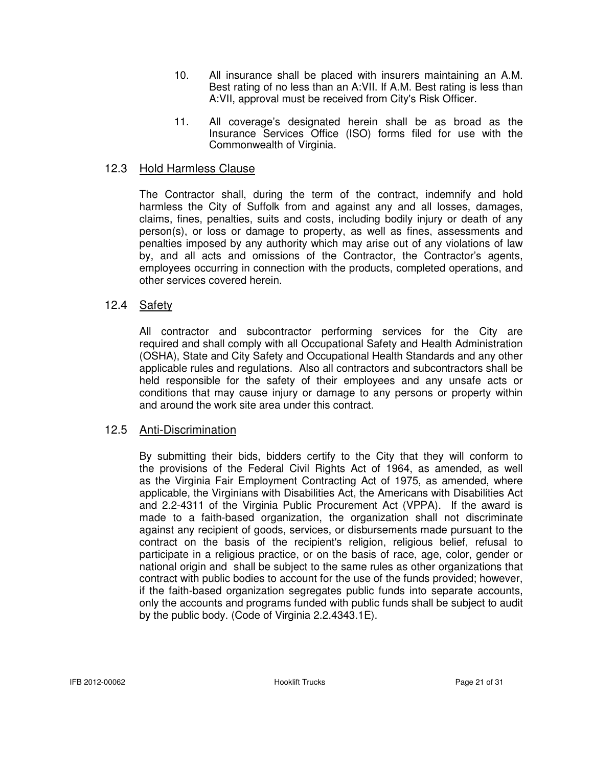- 10. All insurance shall be placed with insurers maintaining an A.M. Best rating of no less than an A:VII. If A.M. Best rating is less than A:VII, approval must be received from City's Risk Officer.
- 11. All coverage's designated herein shall be as broad as the Insurance Services Office (ISO) forms filed for use with the Commonwealth of Virginia.

#### 12.3 Hold Harmless Clause

The Contractor shall, during the term of the contract, indemnify and hold harmless the City of Suffolk from and against any and all losses, damages, claims, fines, penalties, suits and costs, including bodily injury or death of any person(s), or loss or damage to property, as well as fines, assessments and penalties imposed by any authority which may arise out of any violations of law by, and all acts and omissions of the Contractor, the Contractor's agents, employees occurring in connection with the products, completed operations, and other services covered herein.

#### 12.4 Safety

 All contractor and subcontractor performing services for the City are required and shall comply with all Occupational Safety and Health Administration (OSHA), State and City Safety and Occupational Health Standards and any other applicable rules and regulations. Also all contractors and subcontractors shall be held responsible for the safety of their employees and any unsafe acts or conditions that may cause injury or damage to any persons or property within and around the work site area under this contract.

#### 12.5 Anti-Discrimination

 By submitting their bids, bidders certify to the City that they will conform to the provisions of the Federal Civil Rights Act of 1964, as amended, as well as the Virginia Fair Employment Contracting Act of 1975, as amended, where applicable, the Virginians with Disabilities Act, the Americans with Disabilities Act and 2.2-4311 of the Virginia Public Procurement Act (VPPA). If the award is made to a faith-based organization, the organization shall not discriminate against any recipient of goods, services, or disbursements made pursuant to the contract on the basis of the recipient's religion, religious belief, refusal to participate in a religious practice, or on the basis of race, age, color, gender or national origin and shall be subject to the same rules as other organizations that contract with public bodies to account for the use of the funds provided; however, if the faith-based organization segregates public funds into separate accounts, only the accounts and programs funded with public funds shall be subject to audit by the public body. (Code of Virginia 2.2.4343.1E).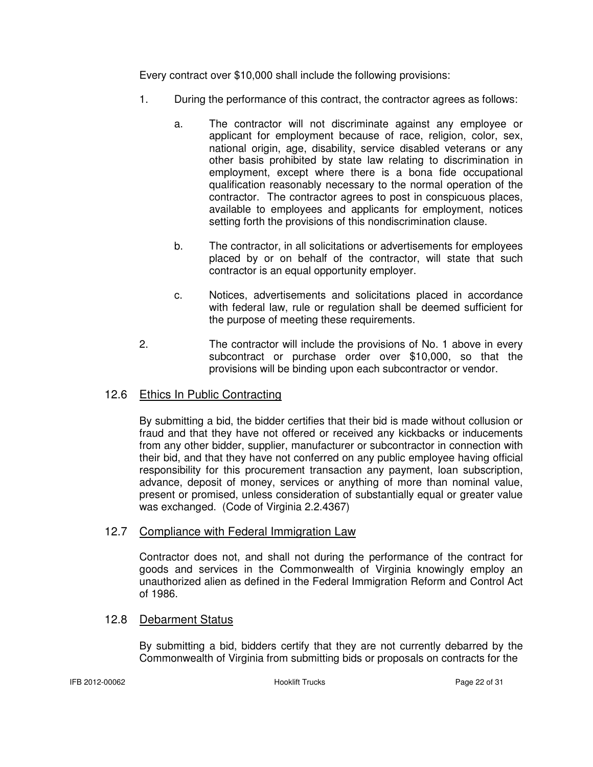Every contract over \$10,000 shall include the following provisions:

- 1. During the performance of this contract, the contractor agrees as follows:
	- a. The contractor will not discriminate against any employee or applicant for employment because of race, religion, color, sex, national origin, age, disability, service disabled veterans or any other basis prohibited by state law relating to discrimination in employment, except where there is a bona fide occupational qualification reasonably necessary to the normal operation of the contractor. The contractor agrees to post in conspicuous places, available to employees and applicants for employment, notices setting forth the provisions of this nondiscrimination clause.
	- b. The contractor, in all solicitations or advertisements for employees placed by or on behalf of the contractor, will state that such contractor is an equal opportunity employer.
	- c. Notices, advertisements and solicitations placed in accordance with federal law, rule or regulation shall be deemed sufficient for the purpose of meeting these requirements.
- 2. The contractor will include the provisions of No. 1 above in every subcontract or purchase order over \$10,000, so that the provisions will be binding upon each subcontractor or vendor.

### 12.6 Ethics In Public Contracting

By submitting a bid, the bidder certifies that their bid is made without collusion or fraud and that they have not offered or received any kickbacks or inducements from any other bidder, supplier, manufacturer or subcontractor in connection with their bid, and that they have not conferred on any public employee having official responsibility for this procurement transaction any payment, loan subscription, advance, deposit of money, services or anything of more than nominal value, present or promised, unless consideration of substantially equal or greater value was exchanged. (Code of Virginia 2.2.4367)

### 12.7 Compliance with Federal Immigration Law

Contractor does not, and shall not during the performance of the contract for goods and services in the Commonwealth of Virginia knowingly employ an unauthorized alien as defined in the Federal Immigration Reform and Control Act of 1986.

## 12.8 Debarment Status

By submitting a bid, bidders certify that they are not currently debarred by the Commonwealth of Virginia from submitting bids or proposals on contracts for the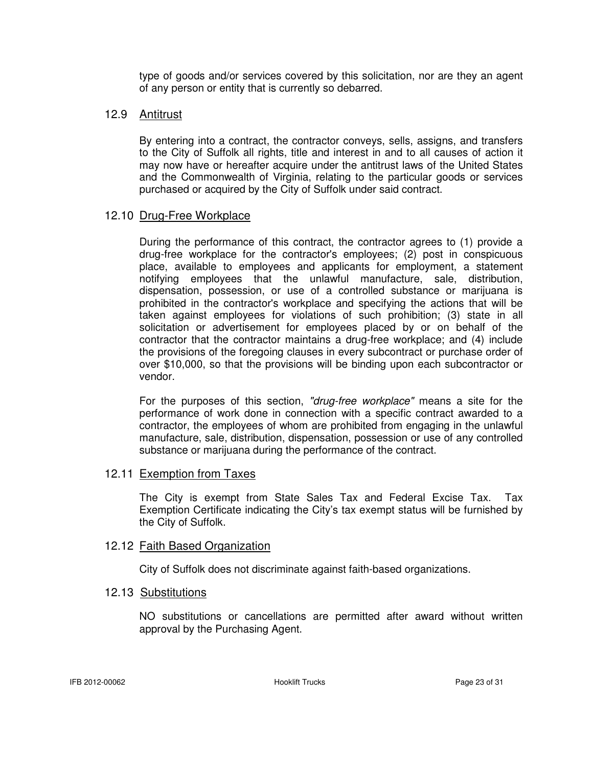type of goods and/or services covered by this solicitation, nor are they an agent of any person or entity that is currently so debarred.

#### 12.9 Antitrust

By entering into a contract, the contractor conveys, sells, assigns, and transfers to the City of Suffolk all rights, title and interest in and to all causes of action it may now have or hereafter acquire under the antitrust laws of the United States and the Commonwealth of Virginia, relating to the particular goods or services purchased or acquired by the City of Suffolk under said contract.

#### 12.10 Drug-Free Workplace

During the performance of this contract, the contractor agrees to (1) provide a drug-free workplace for the contractor's employees; (2) post in conspicuous place, available to employees and applicants for employment, a statement notifying employees that the unlawful manufacture, sale, distribution, dispensation, possession, or use of a controlled substance or marijuana is prohibited in the contractor's workplace and specifying the actions that will be taken against employees for violations of such prohibition; (3) state in all solicitation or advertisement for employees placed by or on behalf of the contractor that the contractor maintains a drug-free workplace; and (4) include the provisions of the foregoing clauses in every subcontract or purchase order of over \$10,000, so that the provisions will be binding upon each subcontractor or vendor.

For the purposes of this section, "drug-free workplace" means a site for the performance of work done in connection with a specific contract awarded to a contractor, the employees of whom are prohibited from engaging in the unlawful manufacture, sale, distribution, dispensation, possession or use of any controlled substance or marijuana during the performance of the contract.

#### 12.11 Exemption from Taxes

The City is exempt from State Sales Tax and Federal Excise Tax. Tax Exemption Certificate indicating the City's tax exempt status will be furnished by the City of Suffolk.

#### 12.12 Faith Based Organization

City of Suffolk does not discriminate against faith-based organizations.

#### 12.13 Substitutions

NO substitutions or cancellations are permitted after award without written approval by the Purchasing Agent.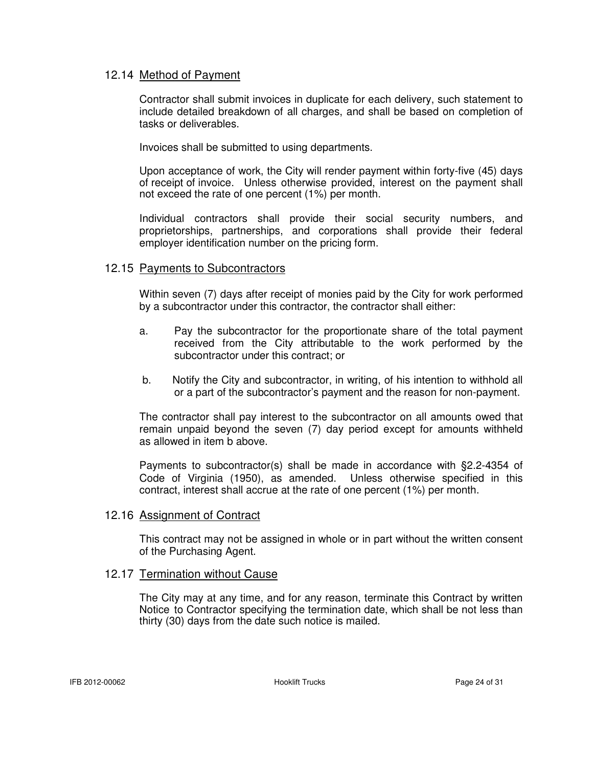#### 12.14 Method of Payment

Contractor shall submit invoices in duplicate for each delivery, such statement to include detailed breakdown of all charges, and shall be based on completion of tasks or deliverables.

Invoices shall be submitted to using departments.

 Upon acceptance of work, the City will render payment within forty-five (45) days of receipt of invoice. Unless otherwise provided, interest on the payment shall not exceed the rate of one percent (1%) per month.

Individual contractors shall provide their social security numbers, and proprietorships, partnerships, and corporations shall provide their federal employer identification number on the pricing form.

#### 12.15 Payments to Subcontractors

Within seven (7) days after receipt of monies paid by the City for work performed by a subcontractor under this contractor, the contractor shall either:

- a. Pay the subcontractor for the proportionate share of the total payment received from the City attributable to the work performed by the subcontractor under this contract; or
- b. Notify the City and subcontractor, in writing, of his intention to withhold all or a part of the subcontractor's payment and the reason for non-payment.

The contractor shall pay interest to the subcontractor on all amounts owed that remain unpaid beyond the seven (7) day period except for amounts withheld as allowed in item b above.

Payments to subcontractor(s) shall be made in accordance with §2.2-4354 of Code of Virginia (1950), as amended. Unless otherwise specified in this contract, interest shall accrue at the rate of one percent (1%) per month.

#### 12.16 Assignment of Contract

This contract may not be assigned in whole or in part without the written consent of the Purchasing Agent.

#### 12.17 Termination without Cause

 The City may at any time, and for any reason, terminate this Contract by written Notice to Contractor specifying the termination date, which shall be not less than thirty (30) days from the date such notice is mailed.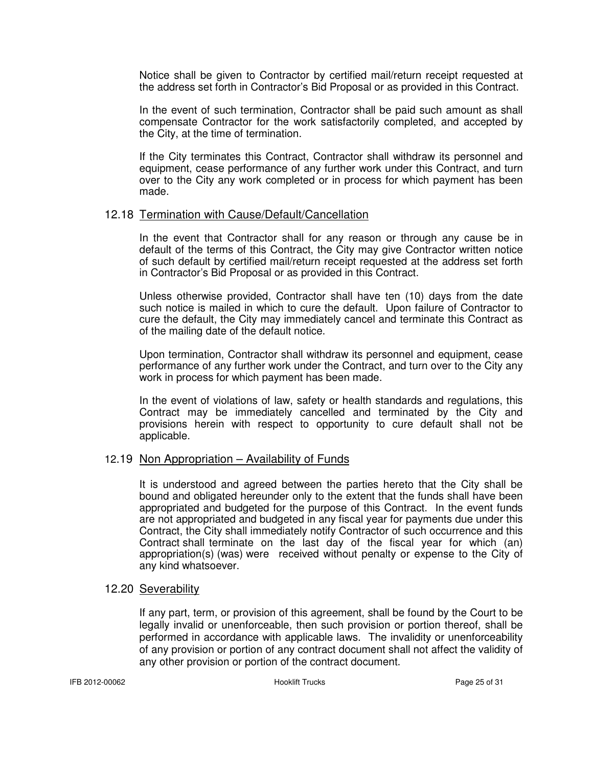Notice shall be given to Contractor by certified mail/return receipt requested at the address set forth in Contractor's Bid Proposal or as provided in this Contract.

 In the event of such termination, Contractor shall be paid such amount as shall compensate Contractor for the work satisfactorily completed, and accepted by the City, at the time of termination.

 If the City terminates this Contract, Contractor shall withdraw its personnel and equipment, cease performance of any further work under this Contract, and turn over to the City any work completed or in process for which payment has been made.

#### 12.18 Termination with Cause/Default/Cancellation

 In the event that Contractor shall for any reason or through any cause be in default of the terms of this Contract, the City may give Contractor written notice of such default by certified mail/return receipt requested at the address set forth in Contractor's Bid Proposal or as provided in this Contract.

 Unless otherwise provided, Contractor shall have ten (10) days from the date such notice is mailed in which to cure the default. Upon failure of Contractor to cure the default, the City may immediately cancel and terminate this Contract as of the mailing date of the default notice.

 Upon termination, Contractor shall withdraw its personnel and equipment, cease performance of any further work under the Contract, and turn over to the City any work in process for which payment has been made.

 In the event of violations of law, safety or health standards and regulations, this Contract may be immediately cancelled and terminated by the City and provisions herein with respect to opportunity to cure default shall not be applicable.

#### 12.19 Non Appropriation – Availability of Funds

 It is understood and agreed between the parties hereto that the City shall be bound and obligated hereunder only to the extent that the funds shall have been appropriated and budgeted for the purpose of this Contract. In the event funds are not appropriated and budgeted in any fiscal year for payments due under this Contract, the City shall immediately notify Contractor of such occurrence and this Contract shall terminate on the last day of the fiscal year for which (an) appropriation(s) (was) were received without penalty or expense to the City of any kind whatsoever.

#### 12.20 Severability

If any part, term, or provision of this agreement, shall be found by the Court to be legally invalid or unenforceable, then such provision or portion thereof, shall be performed in accordance with applicable laws. The invalidity or unenforceability of any provision or portion of any contract document shall not affect the validity of any other provision or portion of the contract document.

IFB 2012-00062 Hooklift Trucks Page 25 of 31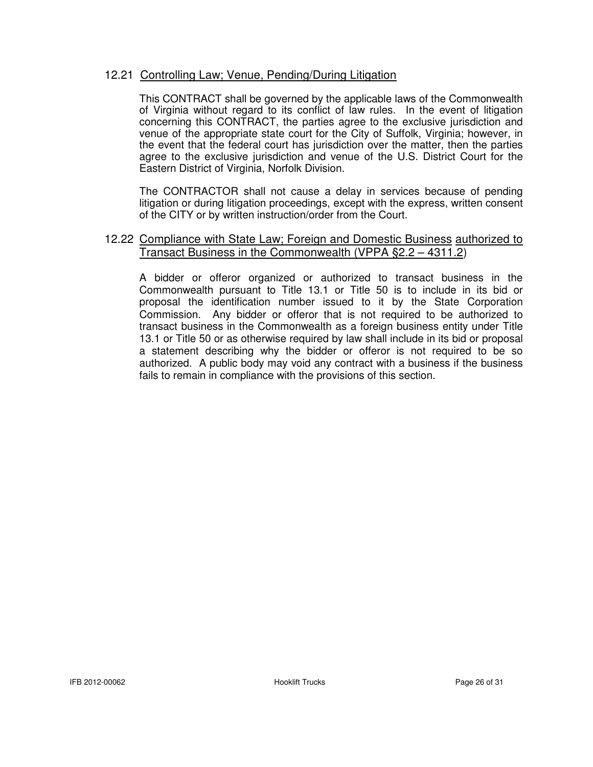#### 12.21 Controlling Law; Venue, Pending/During Litigation

 This CONTRACT shall be governed by the applicable laws of the Commonwealth of Virginia without regard to its conflict of law rules. In the event of litigation concerning this CONTRACT, the parties agree to the exclusive jurisdiction and venue of the appropriate state court for the City of Suffolk, Virginia; however, in the event that the federal court has jurisdiction over the matter, then the parties agree to the exclusive jurisdiction and venue of the U.S. District Court for the Eastern District of Virginia, Norfolk Division.

 The CONTRACTOR shall not cause a delay in services because of pending litigation or during litigation proceedings, except with the express, written consent of the CITY or by written instruction/order from the Court.

#### 12.22 Compliance with State Law; Foreign and Domestic Business authorized to Transact Business in the Commonwealth (VPPA §2.2 – 4311.2)

 A bidder or offeror organized or authorized to transact business in the Commonwealth pursuant to Title 13.1 or Title 50 is to include in its bid or proposal the identification number issued to it by the State Corporation Commission. Any bidder or offeror that is not required to be authorized to transact business in the Commonwealth as a foreign business entity under Title 13.1 or Title 50 or as otherwise required by law shall include in its bid or proposal a statement describing why the bidder or offeror is not required to be so authorized. A public body may void any contract with a business if the business fails to remain in compliance with the provisions of this section.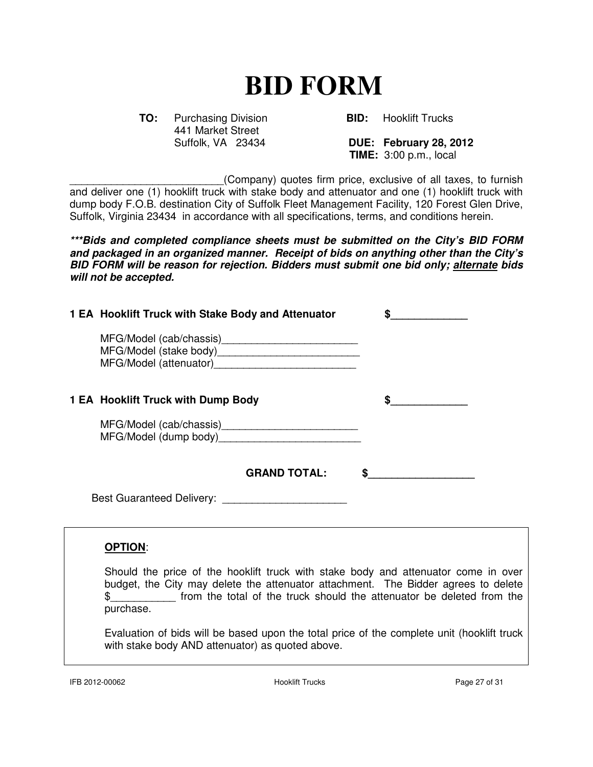# **BID FORM**

**TO:** Purchasing Division **BID:** Hooklift Trucks 441 Market Street<br>Suffolk, VA 23434

**DUE: February 28, 2012 TIME:** 3:00 p.m., local

\_\_\_\_\_\_\_\_\_\_\_\_\_\_\_\_\_\_\_\_\_\_\_\_\_\_(Company) quotes firm price, exclusive of all taxes, to furnish and deliver one (1) hooklift truck with stake body and attenuator and one (1) hooklift truck with dump body F.O.B. destination City of Suffolk Fleet Management Facility, 120 Forest Glen Drive, Suffolk, Virginia 23434 in accordance with all specifications, terms, and conditions herein.

**\*\*\*Bids and completed compliance sheets must be submitted on the City's BID FORM and packaged in an organized manner. Receipt of bids on anything other than the City's BID FORM will be reason for rejection. Bidders must submit one bid only; alternate bids will not be accepted.** 

| 1 EA Hooklift Truck with Stake Body and Attenuator | \$ |
|----------------------------------------------------|----|
|                                                    |    |
| 1 EA Hooklift Truck with Dump Body                 | \$ |
|                                                    |    |
| <b>GRAND TOTAL:</b>                                |    |
|                                                    |    |
| <b>OPTION:</b>                                     |    |

Should the price of the hooklift truck with stake body and attenuator come in over budget, the City may delete the attenuator attachment. The Bidder agrees to delete \$\_\_\_\_\_\_\_\_\_\_\_ from the total of the truck should the attenuator be deleted from the purchase.

Evaluation of bids will be based upon the total price of the complete unit (hooklift truck with stake body AND attenuator) as quoted above.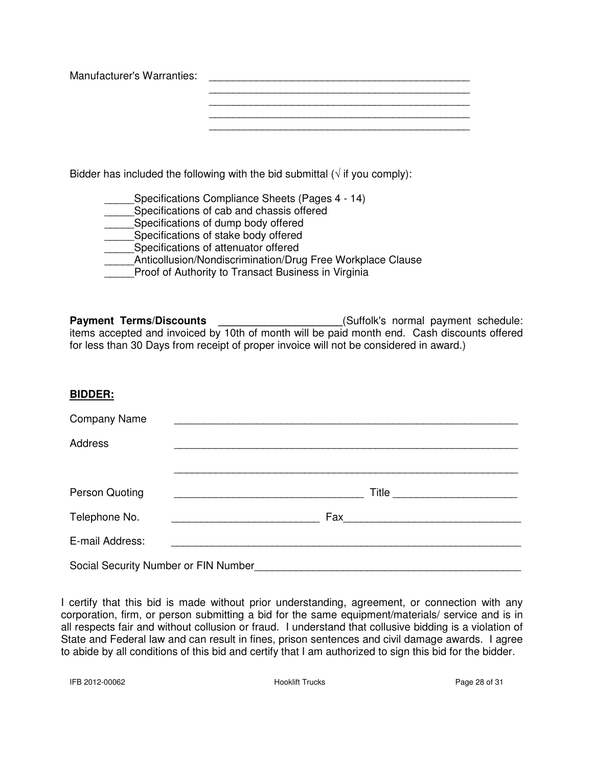Manufacturer's Warranties: \_\_\_\_\_\_\_\_\_\_\_\_\_\_\_\_\_\_\_\_\_\_\_\_\_\_\_\_\_\_\_\_\_\_\_\_\_\_\_\_\_\_\_\_ \_\_\_\_\_\_\_\_\_\_\_\_\_\_\_\_\_\_\_\_\_\_\_\_\_\_\_\_\_\_\_\_\_\_\_\_\_\_\_\_\_\_\_\_

Bidder has included the following with the bid submittal ( $\sqrt{ }$  if you comply):

| Specifications Compliance Sheets (Pages 4 - 14)            |
|------------------------------------------------------------|
| Specifications of cab and chassis offered                  |
| Specifications of dump body offered                        |
| Specifications of stake body offered                       |
| Specifications of attenuator offered                       |
| Anticollusion/Nondiscrimination/Drug Free Workplace Clause |
| Proof of Authority to Transact Business in Virginia        |

Payment Terms/Discounts \_\_\_\_\_\_\_\_\_\_\_\_\_\_\_\_\_\_\_\_\_\_\_(Suffolk's normal payment schedule: items accepted and invoiced by 10th of month will be paid month end. Cash discounts offered for less than 30 Days from receipt of proper invoice will not be considered in award.)

#### **BIDDER:**

| <b>Company Name</b>                  |                                                                                                                               |  |  |  |
|--------------------------------------|-------------------------------------------------------------------------------------------------------------------------------|--|--|--|
| Address                              |                                                                                                                               |  |  |  |
|                                      |                                                                                                                               |  |  |  |
| Person Quoting                       | Title<br><u> 1989 - Johann John Harry Harry Harry Harry Harry Harry Harry Harry Harry Harry Harry Harry Harry Harry Harry</u> |  |  |  |
| Telephone No.                        |                                                                                                                               |  |  |  |
| E-mail Address:                      |                                                                                                                               |  |  |  |
| Social Security Number or FIN Number |                                                                                                                               |  |  |  |

I certify that this bid is made without prior understanding, agreement, or connection with any corporation, firm, or person submitting a bid for the same equipment/materials/ service and is in all respects fair and without collusion or fraud. I understand that collusive bidding is a violation of State and Federal law and can result in fines, prison sentences and civil damage awards. I agree to abide by all conditions of this bid and certify that I am authorized to sign this bid for the bidder.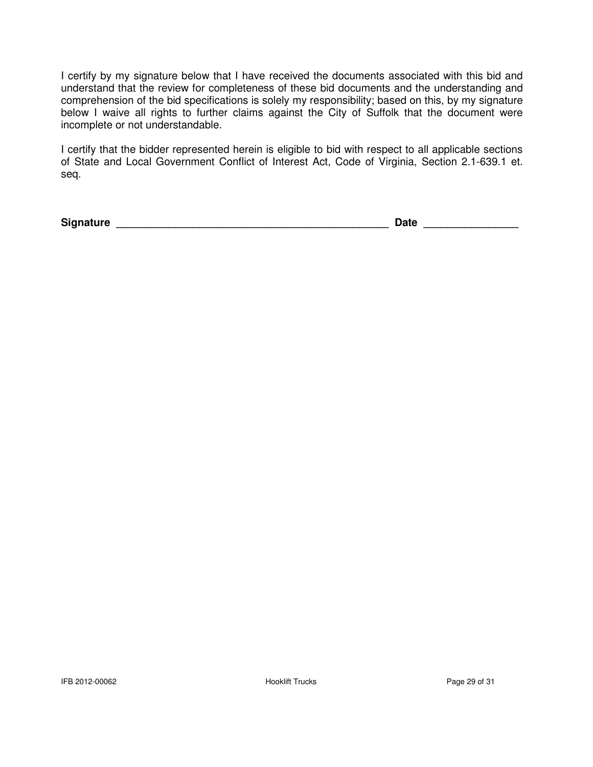I certify by my signature below that I have received the documents associated with this bid and understand that the review for completeness of these bid documents and the understanding and comprehension of the bid specifications is solely my responsibility; based on this, by my signature below I waive all rights to further claims against the City of Suffolk that the document were incomplete or not understandable.

I certify that the bidder represented herein is eligible to bid with respect to all applicable sections of State and Local Government Conflict of Interest Act, Code of Virginia, Section 2.1-639.1 et. seq.

**Signature \_\_\_\_\_\_\_\_\_\_\_\_\_\_\_\_\_\_\_\_\_\_\_\_\_\_\_\_\_\_\_\_\_\_\_\_\_\_\_\_\_\_\_\_\_\_ Date \_\_\_\_\_\_\_\_\_\_\_\_\_\_\_\_**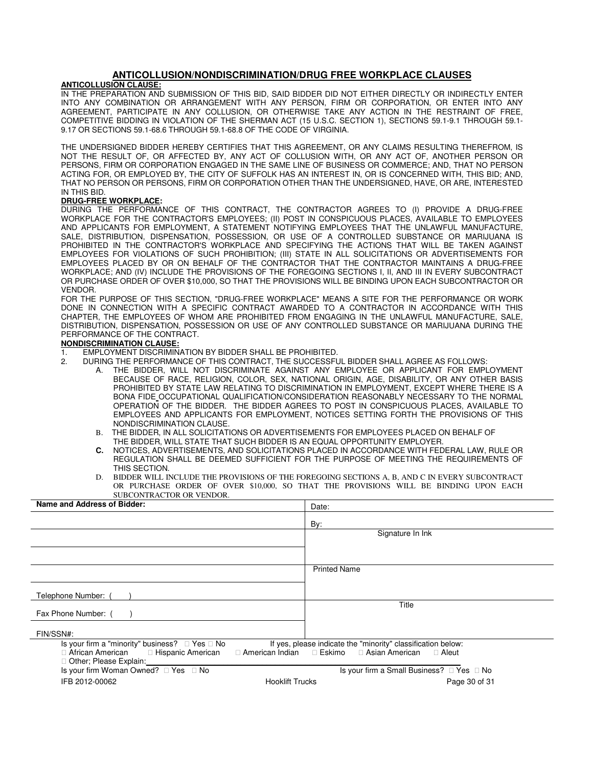#### **ANTICOLLUSION/NONDISCRIMINATION/DRUG FREE WORKPLACE CLAUSES**

#### **ANTICOLLUSION CLAUSE:**

IN THE PREPARATION AND SUBMISSION OF THIS BID, SAID BIDDER DID NOT EITHER DIRECTLY OR INDIRECTLY ENTER INTO ANY COMBINATION OR ARRANGEMENT WITH ANY PERSON, FIRM OR CORPORATION, OR ENTER INTO ANY AGREEMENT, PARTICIPATE IN ANY COLLUSION, OR OTHERWISE TAKE ANY ACTION IN THE RESTRAINT OF FREE, COMPETITIVE BIDDING IN VIOLATION OF THE SHERMAN ACT (15 U.S.C. SECTION 1), SECTIONS 59.1-9.1 THROUGH 59.1- 9.17 OR SECTIONS 59.1-68.6 THROUGH 59.1-68.8 OF THE CODE OF VIRGINIA.

THE UNDERSIGNED BIDDER HEREBY CERTIFIES THAT THIS AGREEMENT, OR ANY CLAIMS RESULTING THEREFROM, IS NOT THE RESULT OF, OR AFFECTED BY, ANY ACT OF COLLUSION WITH, OR ANY ACT OF, ANOTHER PERSON OR PERSONS, FIRM OR CORPORATION ENGAGED IN THE SAME LINE OF BUSINESS OR COMMERCE; AND, THAT NO PERSON ACTING FOR, OR EMPLOYED BY, THE CITY OF SUFFOLK HAS AN INTEREST IN, OR IS CONCERNED WITH, THIS BID; AND, THAT NO PERSON OR PERSONS, FIRM OR CORPORATION OTHER THAN THE UNDERSIGNED, HAVE, OR ARE, INTERESTED IN THIS BID.

#### **DRUG-FREE WORKPLACE:**

DURING THE PERFORMANCE OF THIS CONTRACT, THE CONTRACTOR AGREES TO (I) PROVIDE A DRUG-FREE WORKPLACE FOR THE CONTRACTOR'S EMPLOYEES; (II) POST IN CONSPICUOUS PLACES, AVAILABLE TO EMPLOYEES AND APPLICANTS FOR EMPLOYMENT, A STATEMENT NOTIFYING EMPLOYEES THAT THE UNLAWFUL MANUFACTURE, SALE, DISTRIBUTION, DISPENSATION, POSSESSION, OR USE OF A CONTROLLED SUBSTANCE OR MARIJUANA IS PROHIBITED IN THE CONTRACTOR'S WORKPLACE AND SPECIFYING THE ACTIONS THAT WILL BE TAKEN AGAINST EMPLOYEES FOR VIOLATIONS OF SUCH PROHIBITION; (III) STATE IN ALL SOLICITATIONS OR ADVERTISEMENTS FOR EMPLOYEES PLACED BY OR ON BEHALF OF THE CONTRACTOR THAT THE CONTRACTOR MAINTAINS A DRUG-FREE WORKPLACE; AND (IV) INCLUDE THE PROVISIONS OF THE FOREGOING SECTIONS I, II, AND III IN EVERY SUBCONTRACT OR PURCHASE ORDER OF OVER \$10,000, SO THAT THE PROVISIONS WILL BE BINDING UPON EACH SUBCONTRACTOR OR VENDOR.

FOR THE PURPOSE OF THIS SECTION, "DRUG-FREE WORKPLACE" MEANS A SITE FOR THE PERFORMANCE OR WORK DONE IN CONNECTION WITH A SPECIFIC CONTRACT AWARDED TO A CONTRACTOR IN ACCORDANCE WITH THIS CHAPTER, THE EMPLOYEES OF WHOM ARE PROHIBITED FROM ENGAGING IN THE UNLAWFUL MANUFACTURE, SALE, DISTRIBUTION, DISPENSATION, POSSESSION OR USE OF ANY CONTROLLED SUBSTANCE OR MARIJUANA DURING THE PERFORMANCE OF THE CONTRACT.

#### **NONDISCRIMINATION CLAUSE:**

- 1. EMPLOYMENT DISCRIMINATION BY BIDDER SHALL BE PROHIBITED.<br>2. DURING THE PERFORMANCE OF THIS CONTRACT. THE SUCCESSFU
	- 2. DURING THE PERFORMANCE OF THIS CONTRACT, THE SUCCESSFUL BIDDER SHALL AGREE AS FOLLOWS:
		- A. THE BIDDER, WILL NOT DISCRIMINATE AGAINST ANY EMPLOYEE OR APPLICANT FOR EMPLOYMENT BECAUSE OF RACE, RELIGION, COLOR, SEX, NATIONAL ORIGIN, AGE, DISABILITY, OR ANY OTHER BASIS PROHIBITED BY STATE LAW RELATING TO DISCRIMINATION IN EMPLOYMENT, EXCEPT WHERE THERE IS A BONA FIDE OCCUPATIONAL QUALIFICATION/CONSIDERATION REASONABLY NECESSARY TO THE NORMAL OPERATION OF THE BIDDER. THE BIDDER AGREES TO POST IN CONSPICUOUS PLACES, AVAILABLE TO EMPLOYEES AND APPLICANTS FOR EMPLOYMENT, NOTICES SETTING FORTH THE PROVISIONS OF THIS NONDISCRIMINATION CLAUSE.
		- B. THE BIDDER, IN ALL SOLICITATIONS OR ADVERTISEMENTS FOR EMPLOYEES PLACED ON BEHALF OF THE BIDDER, WILL STATE THAT SUCH BIDDER IS AN EQUAL OPPORTUNITY EMPLOYER.
		- **C.** NOTICES, ADVERTISEMENTS, AND SOLICITATIONS PLACED IN ACCORDANCE WITH FEDERAL LAW, RULE OR REGULATION SHALL BE DEEMED SUFFICIENT FOR THE PURPOSE OF MEETING THE REQUIREMENTS OF THIS SECTION.
		- D. BIDDER WILL INCLUDE THE PROVISIONS OF THE FOREGOING SECTIONS A, B, AND C IN EVERY SUBCONTRACT OR PURCHASE ORDER OF OVER \$10,000, SO THAT THE PROVISIONS WILL BE BINDING UPON EACH SUBCONTRACTOR OR VENDOR.

| Name and Address of Bidder:                                                                                                                                 | Date:                                                                                                |
|-------------------------------------------------------------------------------------------------------------------------------------------------------------|------------------------------------------------------------------------------------------------------|
|                                                                                                                                                             | By:                                                                                                  |
|                                                                                                                                                             | Signature In Ink                                                                                     |
|                                                                                                                                                             |                                                                                                      |
|                                                                                                                                                             | <b>Printed Name</b>                                                                                  |
|                                                                                                                                                             |                                                                                                      |
| Telephone Number: (                                                                                                                                         |                                                                                                      |
| Fax Phone Number: (                                                                                                                                         | Title                                                                                                |
| FIN/SSN#:                                                                                                                                                   |                                                                                                      |
| Is your firm a "minority" business? $\Box$ Yes $\Box$ No<br>□ African American<br>□ Hispanic American<br>□ American Indian<br>$\Box$ Other; Please Explain: | If yes, please indicate the "minority" classification below:<br>□ Eskimo □ Asian American<br>□ Aleut |
|                                                                                                                                                             | Is your firm a Small Business? □ Yes □ No                                                            |
| IFB 2012-00062<br><b>Hooklift Trucks</b>                                                                                                                    | Page 30 of 31                                                                                        |
|                                                                                                                                                             |                                                                                                      |